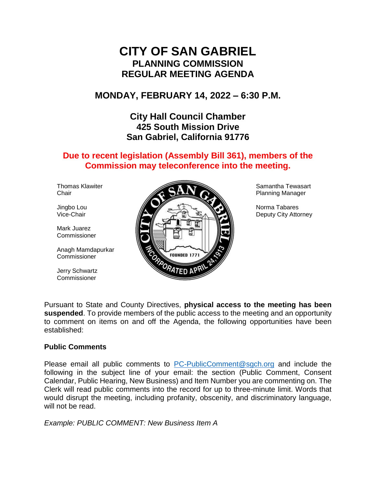# **CITY OF SAN GABRIEL PLANNING COMMISSION REGULAR MEETING AGENDA**

## **MONDAY, FEBRUARY 14, 2022 – 6:30 P.M.**

**City Hall Council Chamber 425 South Mission Drive San Gabriel, California 91776**

### **Due to recent legislation (Assembly Bill 361), members of the Commission may teleconference into the meeting.**

Thomas Klawiter **Chair** 

Jingbo Lou Vice-Chair

Mark Juarez Commissioner

Anagh Mamdapurkar Commissioner

Jerry Schwartz Commissioner



Samantha Tewasart Planning Manager

Norma Tabares Deputy City Attorney

Pursuant to State and County Directives, **physical access to the meeting has been suspended**. To provide members of the public access to the meeting and an opportunity to comment on items on and off the Agenda, the following opportunities have been established:

#### **Public Comments**

Please email all public comments to [PC-PublicComment@sgch.org](mailto:PC-PublicComment@sgch.org) and include the following in the subject line of your email: the section (Public Comment, Consent Calendar, Public Hearing, New Business) and Item Number you are commenting on. The Clerk will read public comments into the record for up to three-minute limit. Words that would disrupt the meeting, including profanity, obscenity, and discriminatory language, will not be read.

*Example: PUBLIC COMMENT: New Business Item A*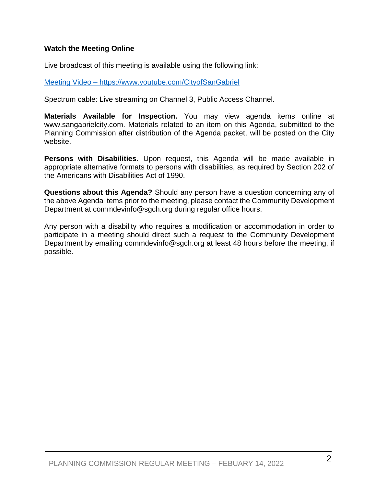#### **Watch the Meeting Online**

Live broadcast of this meeting is available using the following link:

[Meeting Video](https://www.youtube.com/cityofsangabriel) – https://www.youtube.com/CityofSanGabriel

Spectrum cable: Live streaming on Channel 3, Public Access Channel.

**Materials Available for Inspection.** You may view agenda items online at www.sangabrielcity.com. Materials related to an item on this Agenda, submitted to the Planning Commission after distribution of the Agenda packet, will be posted on the City website.

**Persons with Disabilities.** Upon request, this Agenda will be made available in appropriate alternative formats to persons with disabilities, as required by Section 202 of the Americans with Disabilities Act of 1990.

**Questions about this Agenda?** Should any person have a question concerning any of the above Agenda items prior to the meeting, please contact the Community Development Department at commdevinfo@sgch.org during regular office hours.

Any person with a disability who requires a modification or accommodation in order to participate in a meeting should direct such a request to the Community Development Department by emailing commdevinfo@sgch.org at least 48 hours before the meeting, if possible.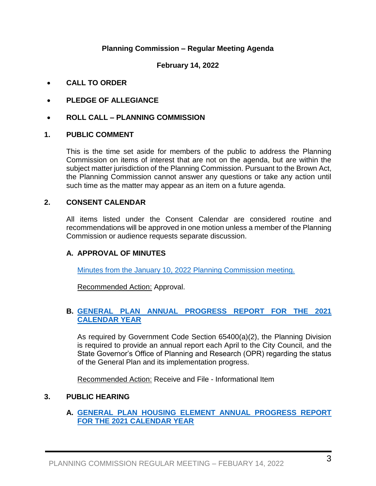#### **Planning Commission – Regular Meeting Agenda**

**February 14, 2022**

- **CALL TO ORDER**
- **PLEDGE OF ALLEGIANCE**
- **ROLL CALL – PLANNING COMMISSION**

#### **1. PUBLIC COMMENT**

This is the time set aside for members of the public to address the Planning Commission on items of interest that are not on the agenda, but are within the subject matter jurisdiction of the Planning Commission. Pursuant to the Brown Act, the Planning Commission cannot answer any questions or take any action until such time as the matter may appear as an item on a future agenda.

#### **2. CONSENT CALENDAR**

All items listed under the Consent Calendar are considered routine and recommendations will be approved in one motion unless a member of the Planning Commission or audience requests separate discussion.

#### **A. APPROVAL OF MINUTES**

[Minutes from the January 10, 2022](https://www.sangabrielcity.com/DocumentCenter/View/16084/PC-Minutes--January-10-2022--DRAFT) Planning Commission meeting.

Recommended Action: Approval.

#### **B. [GENERAL PLAN ANNUAL PROGRESS REPORT FOR THE 2021](https://www.sangabrielcity.com/DocumentCenter/View/16085/Staff-Report-GP-APR-2021)  [CALENDAR YEAR](https://www.sangabrielcity.com/DocumentCenter/View/16085/Staff-Report-GP-APR-2021)**

As required by Government Code Section 65400(a)(2), the Planning Division is required to provide an annual report each April to the City Council, and the State Governor's Office of Planning and Research (OPR) regarding the status of the General Plan and its implementation progress.

Recommended Action: Receive and File - Informational Item

#### **3. PUBLIC HEARING**

**A. [GENERAL PLAN HOUSING ELEMENT ANNUAL PROGRESS REPORT](https://www.sangabrielcity.com/DocumentCenter/View/16088/Housing-APR-Packet)  [FOR THE 2021 CALENDAR YEAR](https://www.sangabrielcity.com/DocumentCenter/View/16088/Housing-APR-Packet)**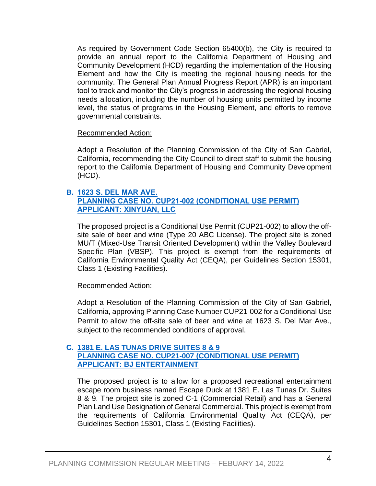As required by Government Code Section 65400(b), the City is required to provide an annual report to the California Department of Housing and Community Development (HCD) regarding the implementation of the Housing Element and how the City is meeting the regional housing needs for the community. The General Plan Annual Progress Report (APR) is an important tool to track and monitor the City's progress in addressing the regional housing needs allocation, including the number of housing units permitted by income level, the status of programs in the Housing Element, and efforts to remove governmental constraints.

#### Recommended Action:

Adopt a Resolution of the Planning Commission of the City of San Gabriel, California, recommending the City Council to direct staff to submit the housing report to the California Department of Housing and Community Development (HCD).

#### **B. [1623 S. DEL MAR AVE.](https://www.sangabrielcity.com/DocumentCenter/View/16082/1623-S-Del-Mar-Ave-Packet) [PLANNING CASE NO. CUP21-002](https://www.sangabrielcity.com/DocumentCenter/View/16082/1623-S-Del-Mar-Ave-Packet) (CONDITIONAL USE PERMIT) [APPLICANT: XINYUAN, LLC](https://www.sangabrielcity.com/DocumentCenter/View/16082/1623-S-Del-Mar-Ave-Packet)**

The proposed project is a Conditional Use Permit (CUP21-002) to allow the offsite sale of beer and wine (Type 20 ABC License). The project site is zoned MU/T (Mixed-Use Transit Oriented Development) within the Valley Boulevard Specific Plan (VBSP). This project is exempt from the requirements of California Environmental Quality Act (CEQA), per Guidelines Section 15301, Class 1 (Existing Facilities).

#### Recommended Action:

Adopt a Resolution of the Planning Commission of the City of San Gabriel, California, approving Planning Case Number CUP21-002 for a Conditional Use Permit to allow the off-site sale of beer and wine at 1623 S. Del Mar Ave., subject to the recommended conditions of approval.

#### **C. [1381 E. LAS TUNAS DRIVE SUITES 8 & 9](https://www.sangabrielcity.com/DocumentCenter/View/16086/1381-E-Las-Tunas-Complete-Packet) [PLANNING CASE NO. CUP21-007](https://www.sangabrielcity.com/DocumentCenter/View/16086/1381-E-Las-Tunas-Complete-Packet) (CONDITIONAL USE PERMIT) [APPLICANT: BJ ENTERTAINMENT](https://www.sangabrielcity.com/DocumentCenter/View/16086/1381-E-Las-Tunas-Complete-Packet)**

The proposed project is to allow for a proposed recreational entertainment escape room business named Escape Duck at 1381 E. Las Tunas Dr. Suites 8 & 9. The project site is zoned C-1 (Commercial Retail) and has a General Plan Land Use Designation of General Commercial. This project is exempt from the requirements of California Environmental Quality Act (CEQA), per Guidelines Section 15301, Class 1 (Existing Facilities).